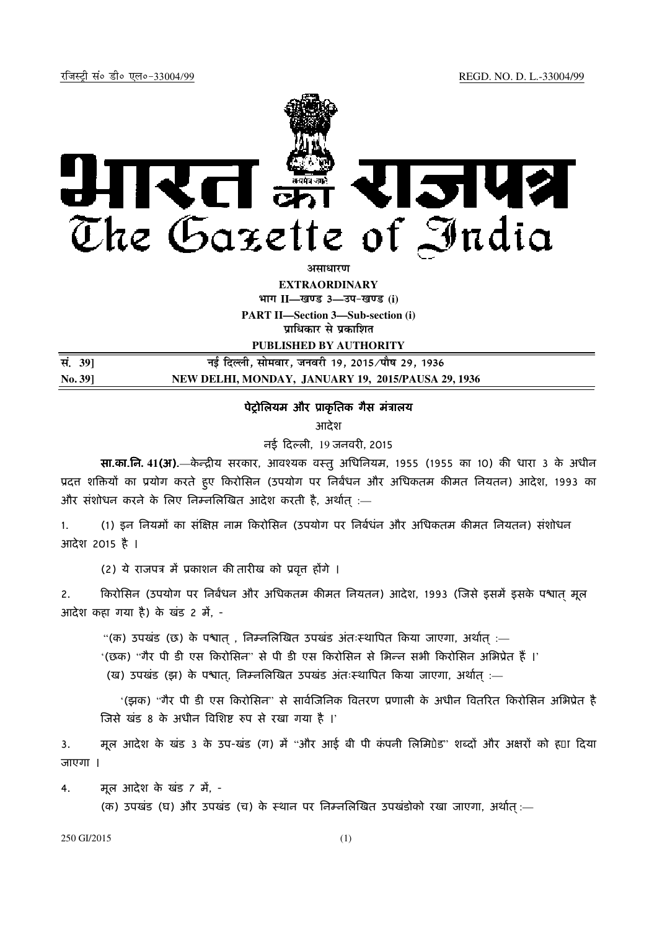

**असाधारण** 

**EXTRAORDINARY**  $\lim_{h \to 0} \frac{1}{h} = \frac{1}{h}$  and 3 and  $\lim_{h \to 0} \frac{1}{h} = \frac{1}{h}$ 

**PART II—Section 3—Sub-section (i) प्राधिकार से प्रकाशित** 

**PUBLISHED BY AUTHORITY**

| सं. 39]        | नई दिल्ली, सोमवार, जनवरी 19, 2015 ∕पौष 29, 1936    |
|----------------|----------------------------------------------------|
| <b>No. 391</b> | NEW DELHI, MONDAY, JANUARY 19, 2015/PAUSA 29, 1936 |

## पेट्रोलियम और प्राकृतिक गैस मंत्रालय

आदेश

नई दली, 19 जनवर!, 2015

सा.का.नि. 41(अ).—केन्द्रीय सरकार, आवश्यक वस्तु अधिनियम, 1955 (1955 का 10) की धारा 3 के अधीन प्रदत्त शक्तियों का प्रयोग करते हुए किरोसिन (उपयोग पर निर्बंधन और अधिकतम कीमत नियतन) आदेश, 1993 का और संशोधन करने के लिए निम्नलिखित आदेश करती है, अर्थात :—

1. (1) इन नियमों का संक्षिप्त नाम किरोसिन (उपयोग पर निर्बधंन और अधिकतम कीमत नियतन) संशोधन आदेश 2015 है ।

(2) ये राजपत्र में प्रकाशन की तारीख को प्रवृत्त होंगे ।

2. किरोसिन (उपयोग पर निर्बंधन और अधिकतम कीमत नियतन) आदेश, 1993 (जिसे इसमें इसके पश्चात मूल आदेश कहा गया है) के खंड 2 में, -

"(क) उपखंड (छ) के पश्वात , निम्नलिखित उपखंड अंतःस्थापित किया जाएगा, अर्थात :—

'(छक) "गैर पी डी एस किरोसिन" से पी डी एस किरोसिन से भिन्न सभी किरोसिन अभिप्रेत हैं ।'

(ख) उपखंड (झ) के पश्चात, निम्नलिखित उपखंड अंतःस्थापित किया जाएगा, अर्थात :—

'(झक) "गैर पी डी एस किरोसिन" से सार्वजिनिक वितरण प्रणाली के अधीन वितरित किरोसिन अभिप्रेत है जिसे खंड 8 के अधीन विशिष्ट रुप से रखा गया है ।'

3. माल आदेश के खंड 3 के उप-खंड (ग) में "और आई बी पी कंपनी लिमिपेड" शब्दों और अक्षरों को ह्या दिया जाएगा ।

4. मूल आदेश के खंड *7* में, -

(क) उपखंड (घ) और उपखंड (च) के स्थान पर निम्नलिखित उपखंडोको रखा जाएगा, अर्थात :—

250 GI/2015 (1)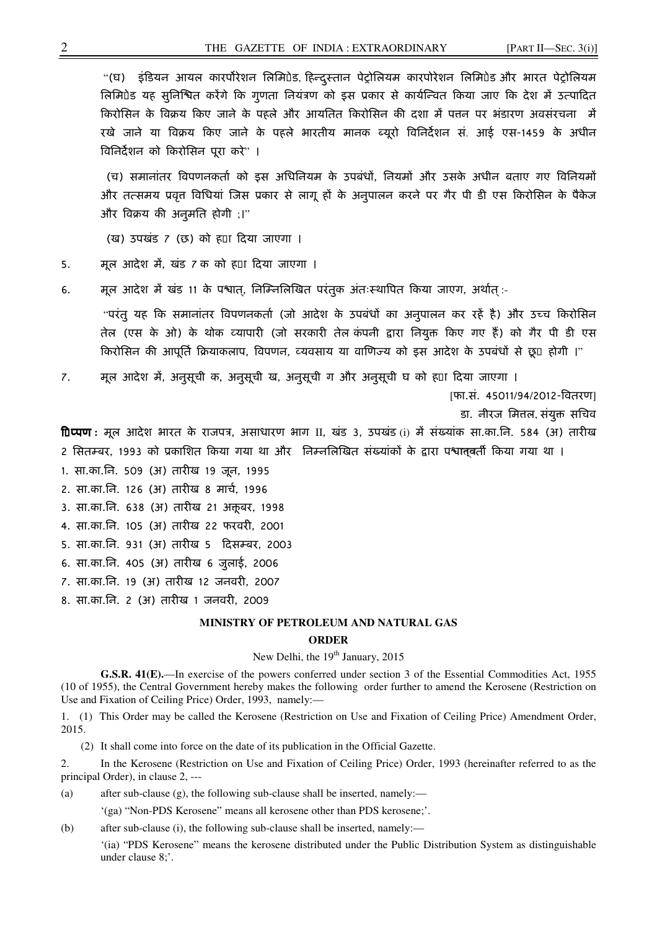"(घ) इंडियन आयल कारपोरेशन लिमिपेड, हिन्दुस्तान पेट्रोलियम कारपोरेशन लिमिपेड और भारत पेट्रोलियम लिमिपेड यह सुनिश्चित करेंगे कि गुणता नियंत्रण को इस प्रकार से कार्यन्वित किया जाए कि देश में उत्पादित किरोसिन के विक्रय किए जाने के पहले और आयतित किरोसिन की दशा में पत्तन पर भंडारण अवसंरचना में रखे जाने या विक्रय किए जाने के पहले भारतीय मानक ब्यूरो विनिर्देशन सं. आई एस-1459 के अधीन विनिर्देशन को किरोसिन पूरा करें" ।

(च) समानांतर विपणनकर्ता को इस अधिनियम के उपबंधों, नियमों और उसके अधीन बताए गए विनियमों और तत्समय प्रवृत्त विधियां जिस प्रकार से लागू हों के अनुपालन करने पर गैर पी डी एस किरोसिन के पैकेज और विक्रय की अनुमति होगी ;।"

(ख) उपखंड 7 (छ) को हटा दया जाएगा ।

- 5. माल आदेश में, खंड 7 क को ह0ा दिया जाएगा ।
- 6. मूल आदेश में खंड 11 के पश्चात्, निम्निलिखित परंतुक अंतःस्थापित किया जाएग, अर्थात् :-

"परंतु यह कि समानांतर विपणनकर्ता (जो आदेश के उपबंधों का अनुपालन कर रहें है) और उच्च किरोसिन तेल (एस के ओ) के थोक व्यापारी (जो सरकारी तेल कंपनी द्वारा नियुक्त किए गए हैं) को गैर पी डी एस किरोसिन की आपूर्ति क्रियाकलाप, विपणन, व्यवसाय या वाणिज्य को इस आदेश के उपबंधों से छू0 होगी ।"

7. मूल आदेश में, अनुसूची क, अनुसूची ख, अनुसूची ग और अनुसूची घ को ह¤ा दिया जाएगा ।

[फा.सं. 45011/94/2012-4वतरण]

डा. नीरज मित्तल, संयुक्त सचिव

fDप्पण : मूल आदेश भारत के राजपत्र, असाधारण भाग II, खंड 3, उपखंड (i) में संख्यांक सा.का.नि. 584 (अ) तारीख 2 सितम्बर, 1993 को प्रकाशित किया गया था और निम्नलिखित संख्यांकों के द्वारा पश्चात्**व**र्ती किया गया था ।

- 1. सा.का.िन. 509 (अ) तार!ख 19 जून, 1995
- 2. सा.का.नि. 126 (अ) तारीख 8 मार्च, 1996
- 3. सा.का.नि. 638 (अ) तारीख 21 अक्तूबर, 1998
- 4. सा.का.िन. 105 (अ) तार!ख 22 फरवर!, 2001
- 5. सा.का.िन. 931 (अ) तार!ख 5 दस<बर, 2003
- 6. सा.का.िन. 405 (अ) तार!ख 6 जुलाई, 2006
- 7. सा.का.िन. 19 (अ) तार!ख 12 जनवर!, 2007
- 8. सा.का.नि. 2 (अ) तारीख 1 जनवरी, 2009

## **MINISTRY OF PETROLEUM AND NATURAL GAS**

## **ORDER**

## New Delhi, the 19<sup>th</sup> January, 2015

**G.S.R. 41(E).**—In exercise of the powers conferred under section 3 of the Essential Commodities Act, 1955 (10 of 1955), the Central Government hereby makes the following order further to amend the Kerosene (Restriction on Use and Fixation of Ceiling Price) Order, 1993, namely:—

1. (1) This Order may be called the Kerosene (Restriction on Use and Fixation of Ceiling Price) Amendment Order, 2015.

(2) It shall come into force on the date of its publication in the Official Gazette.

2. In the Kerosene (Restriction on Use and Fixation of Ceiling Price) Order, 1993 (hereinafter referred to as the principal Order), in clause 2, ---

- (a) after sub-clause (g), the following sub-clause shall be inserted, namely:—
	- '(ga) "Non-PDS Kerosene" means all kerosene other than PDS kerosene;'.

(b) after sub-clause (i), the following sub-clause shall be inserted, namely:—

'(ia) "PDS Kerosene" means the kerosene distributed under the Public Distribution System as distinguishable under clause 8;'.